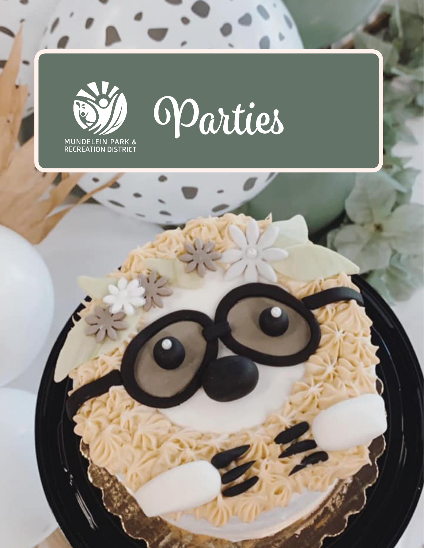



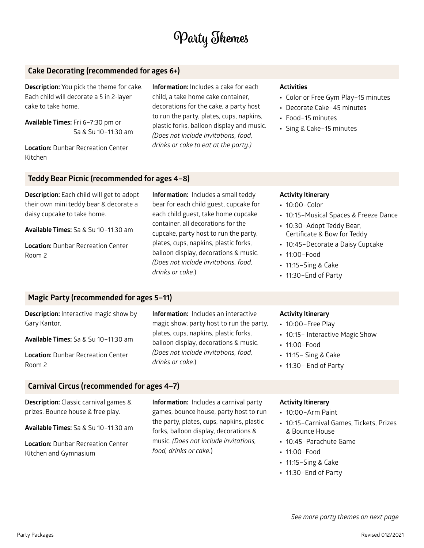# **Party Themes**

# **Cake Decorating (recommended for ages 6+)**

**Description:** You pick the theme for cake. Each child will decorate a 5 in 2-layer cake to take home.

**Available Times:** Fri 6–7:30 pm or Sa & Su 10–11:30 am

**Location:** Dunbar Recreation Center Kitchen

**Information:** Includes a cake for each child, a take home cake container, decorations for the cake, a party host to run the party, plates, cups, napkins, plastic forks, balloon display and music. *(Does not include invitations, food, drinks or cake to eat at the party.)*

### **Activities**

- **•** Color or Free Gym Play–15 minutes
- **•** Decorate Cake–45 minutes
- **•** Food–15 minutes
- **•** Sing & Cake–15 minutes

# **Teddy Bear Picnic (recommended for ages 4–8)**

**Description:** Each child will get to adopt their own mini teddy bear & decorate a daisy cupcake to take home.

**Available Times:** Sa & Su 10–11:30 am

**Location:** Dunbar Recreation Center Room 2

**Information:** Includes a small teddy bear for each child guest, cupcake for each child guest, take home cupcake container, all decorations for the cupcake, party host to run the party, plates, cups, napkins, plastic forks, balloon display, decorations & music. *(Does not include invitations, food, drinks or cake.*)

#### **Activity Itinerary**

- **•** 10:00–Color
- **•** 10:15–Musical Spaces & Freeze Dance
- **•** 10:30–Adopt Teddy Bear, Certificate & Bow for Teddy
- **•** 10:45–Decorate a Daisy Cupcake
- **•** 11:00–Food
- **•** 11:15–Sing & Cake
- **•** 11:30–End of Party

# **Magic Party (recommended for ages 5–11)**

| <b>Description:</b> Interactive magic show by | <b>Information:</b> Includes an interactive                                    | <b>Activity It</b>                |
|-----------------------------------------------|--------------------------------------------------------------------------------|-----------------------------------|
| Gary Kantor.                                  | magic show, party host to run the party,                                       | $\cdot$ 10:00-                    |
| Available Times: Sa & Su 10-11:30 am          | plates, cups, napkins, plastic forks,<br>balloon display, decorations & music. | $\cdot$ 10:15 –<br>$\cdot$ 11:00- |
| <b>Location: Dunbar Recreation Center</b>     | (Does not include invitations, food,<br>drinks or cake.)                       | $\cdot$ 11:15 - 9                 |
| Room 2                                        |                                                                                | $-11:30-$                         |

# **Carnival Circus (recommended for ages 4–7)**

**Description:** Classic carnival games & prizes. Bounce house & free play.

**Available Times:** Sa & Su 10–11:30 am

**Location:** Dunbar Recreation Center Kitchen and Gymnasium

**Information:** Includes a carnival party games, bounce house, party host to run the party, plates, cups, napkins, plastic forks, balloon display, decorations & music. *(Does not include invitations, food, drinks or cake.*)

### **Activity Itinerary Free Play**

- **Interactive Magic Show**
- **•** 11:00–Food
- **•** 11:15– Sing & Cake
- **•** 11:30– End of Party

#### **Activity Itinerary**

- **•** 10:00–Arm Paint
- **•** 10:15–Carnival Games, Tickets, Prizes & Bounce House
- **•** 10:45–Parachute Game
- **•** 11:00–Food
- **•** 11:15–Sing & Cake
- **•** 11:30–End of Party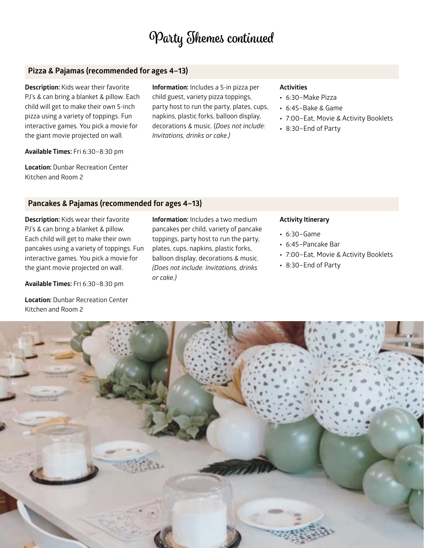# **Party Themes continued**

# **Pizza & Pajamas (recommended for ages 4–13)**

**Description:** Kids wear their favorite PJ's & can bring a blanket & pillow. Each child will get to make their own 5-inch pizza using a variety of toppings. Fun interactive games. You pick a movie for the giant movie projected on wall.

**Available Times:** Fri 6:30–8:30 pm

**Location:** Dunbar Recreation Center Kitchen and Room 2

**Information:** Includes a 5-in pizza per child guest, variety pizza toppings, party host to run the party, plates, cups, napkins, plastic forks, balloon display, decorations & music. (*Does not include: Invitations, drinks or cake.)* 

### **Activities**

- **•** 6:30–Make Pizza
- **•** 6:45–Bake & Game
- **•** 7:00–Eat, Movie & Activity Booklets
- **•** 8:30–End of Party

# **Pancakes & Pajamas (recommended for ages 4–13)**

**Description:** Kids wear their favorite PJ's & can bring a blanket & pillow. Each child will get to make their own pancakes using a variety of toppings. Fun interactive games. You pick a movie for the giant movie projected on wall.

**Available Times:** Fri 6:30–8:30 pm

**Location:** Dunbar Recreation Center Kitchen and Room 2

**Information:** Includes a two medium pancakes per child, variety of pancake toppings, party host to run the party, plates, cups, napkins, plastic forks, balloon display, decorations & music. *(Does not include: Invitations, drinks or cake.)*

### **Activity Itinerary**

- **•** 6:30–Game
- **•** 6:45–Pancake Bar
- **•** 7:00–Eat, Movie & Activity Booklets
- **•** 8:30–End of Party

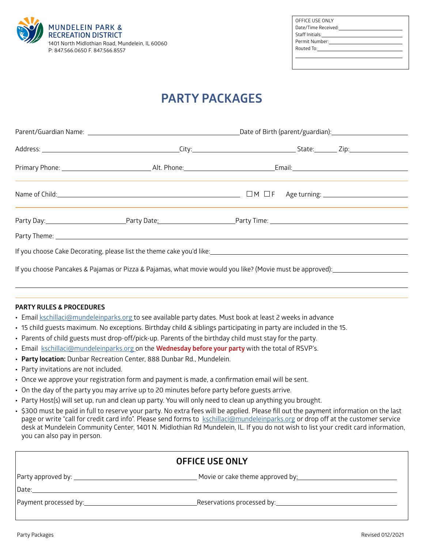

| OFFICE USE ONLY                                                                                                                                                                                                                |  |
|--------------------------------------------------------------------------------------------------------------------------------------------------------------------------------------------------------------------------------|--|
| Date/Time Received: with the control of the control of the control of the control of the control of the control of the control of the control of the control of the control of the control of the control of the control of th |  |
|                                                                                                                                                                                                                                |  |
| Permit Number: <u>____________________________</u>                                                                                                                                                                             |  |
| Routed To: and the contract of the contract of the contract of the contract of the contract of the contract of                                                                                                                 |  |
|                                                                                                                                                                                                                                |  |
|                                                                                                                                                                                                                                |  |

# **PARTY PACKAGES**

| Party Theme: <u>contract the contract of the contract of the contract of the contract of the contract of the contract of the contract of the contract of the contract of the contract of the contract of the contract of the con</u> |  |  |
|--------------------------------------------------------------------------------------------------------------------------------------------------------------------------------------------------------------------------------------|--|--|
| If you choose Cake Decorating, please list the theme cake you'd like:<br>Same success the content of the content of the theme cake you'd like:<br>The content of the content of the content of the content of the content of the c   |  |  |
| If you choose Pancakes & Pajamas or Pizza & Pajamas, what movie would you like? (Movie must be approved): _____________________________                                                                                              |  |  |

#### **PARTY RULES & PROCEDURES**

 $\overline{a}$ 

- **•** Email [kschillaci@mundeleinparks.org](mailto:kschillaci%40mundeleinparks.org?subject=parties) to see available party dates. Must book at least 2 weeks in advance
- **•** 15 child guests maximum. No exceptions. Birthday child & siblings participating in party are included in the 15.
- **•** Parents of child guests must drop-off/pick-up. Parents of the birthday child must stay for the party.
- **•** Email [kschillaci@mundeleinparks.org](mailto:kschillaci%40mundeleinparks.org?subject=parties) on the **Wednesday before your party** with the total of RSVP's.
- **• Party location:** Dunbar Recreation Center, 888 Dunbar Rd., Mundelein.
- **•** Party invitations are not included.
- **•** Once we approve your registration form and payment is made, a confirmation email will be sent.
- **•** On the day of the party you may arrive up to 20 minutes before party before guests arrive.
- **•** Party Host(s) will set up, run and clean up party. You will only need to clean up anything you brought.
- **•** \$300 must be paid in full to reserve your party. No extra fees will be applied. Please fill out the payment information on the last page or write "call for credit card info". Please send forms to [kschillaci@mundeleinparks.org](mailto:kschillaci%40mundeleinparks.org?subject=parties) or drop off at the customer service desk at Mundelein Community Center, 1401 N. Midlothian Rd Mundelein, IL. If you do not wish to list your credit card information, you can also pay in person.

| <b>OFFICE USE ONLY</b> |  |  |  |
|------------------------|--|--|--|
|                        |  |  |  |
|                        |  |  |  |
|                        |  |  |  |